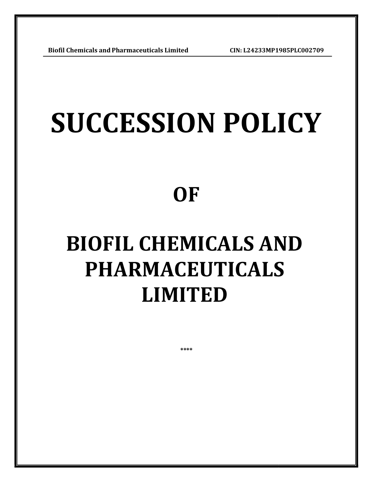## SUCCESSION POLICY

### **OF**

# BIOFIL CHEMICALS AND<br>PHARMACEUTICALS<br>LIMITED PHARMACEUTICALS

\*\*\*\*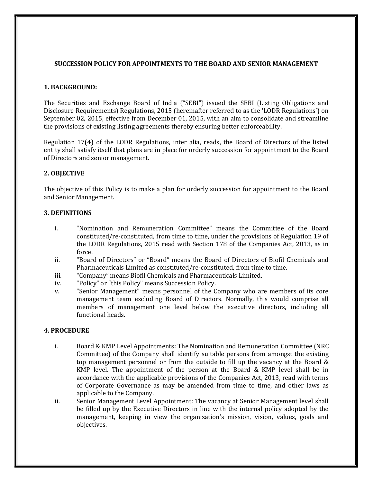#### SUCCESSION POLICY FOR APPOINTMENTS TO THE BOARD AND SENIOR MANAGEMENT

#### 1. BACKGROUND:

The Securities and Exchange Board of India ("SEBI") issued the SEBI (Listing Obligations and Disclosure Requirements) Regulations, 2015 (hereinafter referred to as the 'LODR Regulations') on September 02, 2015, effective from December 01, 2015, with an aim to consolidate and streamline the provisions of existing listing agreements thereby ensuring better enforceability.

Regulation 17(4) of the LODR Regulations, inter alia, reads, the Board of Directors of the listed entity shall satisfy itself that plans are in place for orderly succession for appointment to the Board of Directors and senior management.

#### 2. OBJECTIVE

The objective of this Policy is to make a plan for orderly succession for appointment to the Board and Senior Management.

#### 3. DEFINITIONS

- i. "Nomination and Remuneration Committee" means the Committee of the Board constituted/re-constituted, from time to time, under the provisions of Regulation 19 of the LODR Regulations, 2015 read with Section 178 of the Companies Act, 2013, as in force.
- ii. "Board of Directors" or "Board" means the Board of Directors of Biofil Chemicals and Pharmaceuticals Limited as constituted/re-constituted, from time to time.
- iii. "Company" means Biofil Chemicals and Pharmaceuticals Limited.
- iv. "Policy" or "this Policy" means Succession Policy.
- v. "Senior Management" means personnel of the Company who are members of its core management team excluding Board of Directors. Normally, this would comprise all members of management one level below the executive directors, including all functional heads.

#### 4. PROCEDURE

- i. Board & KMP Level Appointments: The Nomination and Remuneration Committee (NRC Committee) of the Company shall identify suitable persons from amongst the existing top management personnel or from the outside to fill up the vacancy at the Board  $\&$ KMP level. The appointment of the person at the Board & KMP level shall be in accordance with the applicable provisions of the Companies Act, 2013, read with terms of Corporate Governance as may be amended from time to time, and other laws as applicable to the Company.
- ii. Senior Management Level Appointment: The vacancy at Senior Management level shall be filled up by the Executive Directors in line with the internal policy adopted by the management, keeping in view the organization's mission, vision, values, goals and objectives.